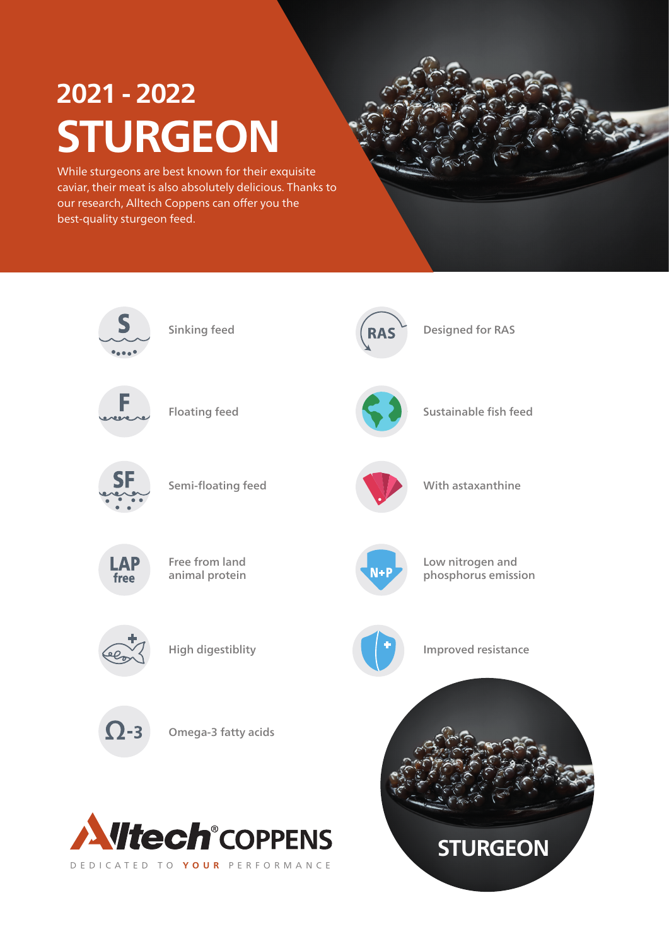# **2021 - 2022 STURGEON**

While sturgeons are best known for their exquisite caviar, their meat is also absolutely delicious. Thanks to our research, Alltech Coppens can offer you the best-quality sturgeon feed.

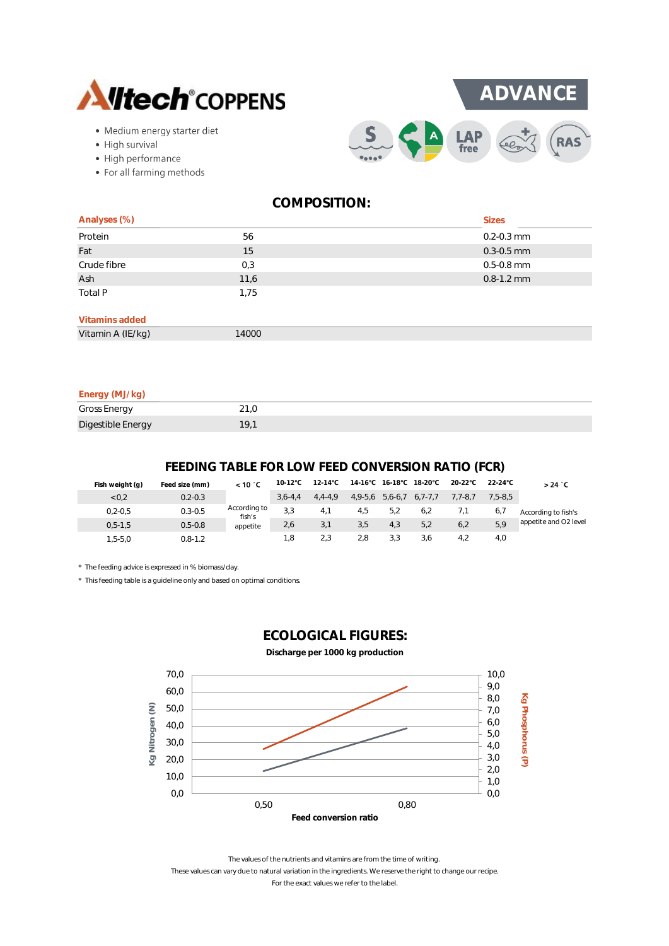

- · Medium energy starter diet
- High survival
- High performance
- For all farming methods

 $S$ 

**ADVANCE**

**LAP**<br>free

| Analyses (%)      |       | <b>Sizes</b>   |
|-------------------|-------|----------------|
| Protein           | 56    | $0.2 - 0.3$ mm |
| Fat               | 15    | $0.3 - 0.5$ mm |
| Crude fibre       | 0,3   | $0.5 - 0.8$ mm |
| Ash               | 11,6  | $0.8 - 1.2$ mm |
| Total P           | 1,75  |                |
| Vitamins added    |       |                |
| Vitamin A (IE/kg) | 14000 |                |

| Energy (MJ/kg)      |      |
|---------------------|------|
| <b>Gross Energy</b> | 21.0 |
| Digestible Energy   | 19.1 |

# **FEEDING TABLE FOR LOW FEED CONVERSION RATIO (FCR)**

| Fish weight (g) | Feed size (mm) | < 10 °C                | 10-12°C     | $12-14^{\circ}$ C |           |                   | 14-16°C 16-18°C 18-20°C | $20-22^{\circ}$ C | 22-24°C     | $>24$ °C              |
|-----------------|----------------|------------------------|-------------|-------------------|-----------|-------------------|-------------------------|-------------------|-------------|-----------------------|
| 0.2             | $0.2 - 0.3$    |                        | $3.6 - 4.4$ | $4.4 - 4.9$       | $4,9-5,6$ | $5,6-6,7$ 6,7-7,7 |                         | $7.7 - 8.7$       | $7.5 - 8.5$ |                       |
| $0.2 - 0.5$     | $0.3 - 0.5$    | According to<br>fish's | 3.3         | 4.1               | 4,5       | 5,2               | 6,2                     |                   | 6,7         | According to fish's   |
| $0, 5 - 1, 5$   | $0.5 - 0.8$    | appetite               | 2,6         | 3,1               | 3,5       | 4.3               | 5,2                     | 6.2               | 5,9         | appetite and O2 level |
| $1.5 - 5.0$     | $0.8 - 1.2$    |                        | 1.8         | 2.3               | 2.8       | 3.3               | 3.6                     | 4.2               | 4.0         |                       |

\* The feeding advice is expressed in % biomass/day.

\* This feeding table is a guideline only and based on optimal conditions.



# **ECOLOGICAL FIGURES:**

**Discharge per 1000 kg production**

The values of the nutrients and vitamins are from the time of writing. These values can vary due to natural variation in the ingredients. We reserve the right to change our recipe.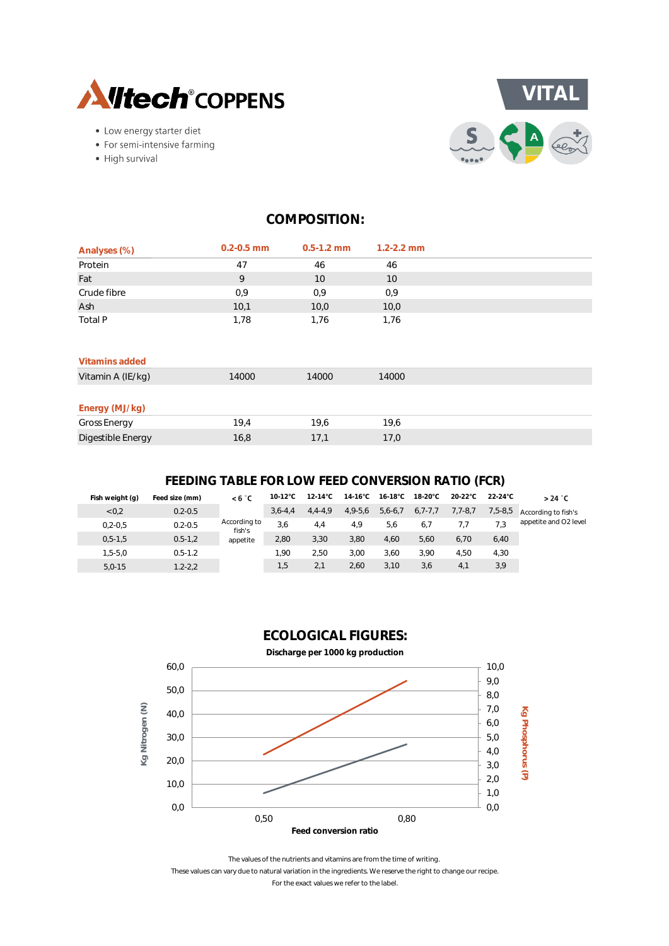

- Low energy starter diet
- For semi-intensive farming
- High survival



| Analyses (%)        | $0.2 - 0.5$ mm | $0.5 - 1.2$ mm | $1.2 - 2.2$ mm |  |
|---------------------|----------------|----------------|----------------|--|
| Protein             | 47             | 46             | 46             |  |
| Fat                 | 9              | 10             | 10             |  |
| Crude fibre         | 0,9            | 0,9            | 0,9            |  |
| Ash                 | 10,1           | 10,0           | 10,0           |  |
| Total P             | 1,78           | 1,76           | 1,76           |  |
| Vitamins added      |                |                |                |  |
| Vitamin A (IE/kg)   | 14000          | 14000          | 14000          |  |
| Energy (MJ/kg)      |                |                |                |  |
| <b>Gross Energy</b> | 19,4           | 19,6           | 19,6           |  |
| Digestible Energy   | 16,8           | 17,1           | 17,0           |  |

# **FEEDING TABLE FOR LOW FEED CONVERSION RATIO (FCR)**

| Fish weight (g) | Feed size (mm) | < 6 °C                 | $10-12^{\circ}$ C | $12-14^{\circ}$ C | $14-16^{\circ}$ C | 16-18°C   | 18-20°C       | $20-22^{\circ}$ C | $22-24^{\circ}$ C | $>24$ °C              |
|-----------------|----------------|------------------------|-------------------|-------------------|-------------------|-----------|---------------|-------------------|-------------------|-----------------------|
| < 0.2           | $0.2 - 0.5$    |                        | $3.6 - 4.4$       | $4,4-4,9$         | $4,9-5,6$         | $5,6-6,7$ | $6, 7 - 7, 7$ | $7,7-8,7$         | $7,5-8,5$         | According to fish's   |
| $0, 2 - 0, 5$   | $0.2 - 0.5$    | According to<br>fish's | 3.6               | 4.4               | 4.9               | 5,6       | 6.7           | 7.7               | 7.3               | appetite and O2 level |
| $0, 5 - 1, 5$   | $0.5 - 1.2$    | appetite               | 2,80              | 3,30              | 3,80              | 4,60      | 5.60          | 6.70              | 6,40              |                       |
| $1.5 - 5.0$     | $0.5 - 1.2$    |                        | 1.90              | 2.50              | 3.00              | 3.60      | 3.90          | 4.50              | 4,30              |                       |
| $5.0 - 15$      | $1.2 - 2.2$    |                        | 1.5               | 2.1               | 2.60              | 3.10      | 3.6           | 4.1               | 3,9               |                       |
|                 |                |                        |                   |                   |                   |           |               |                   |                   |                       |





The values of the nutrients and vitamins are from the time of writing. These values can vary due to natural variation in the ingredients. We reserve the right to change our recipe. For the exact values we refer to the label.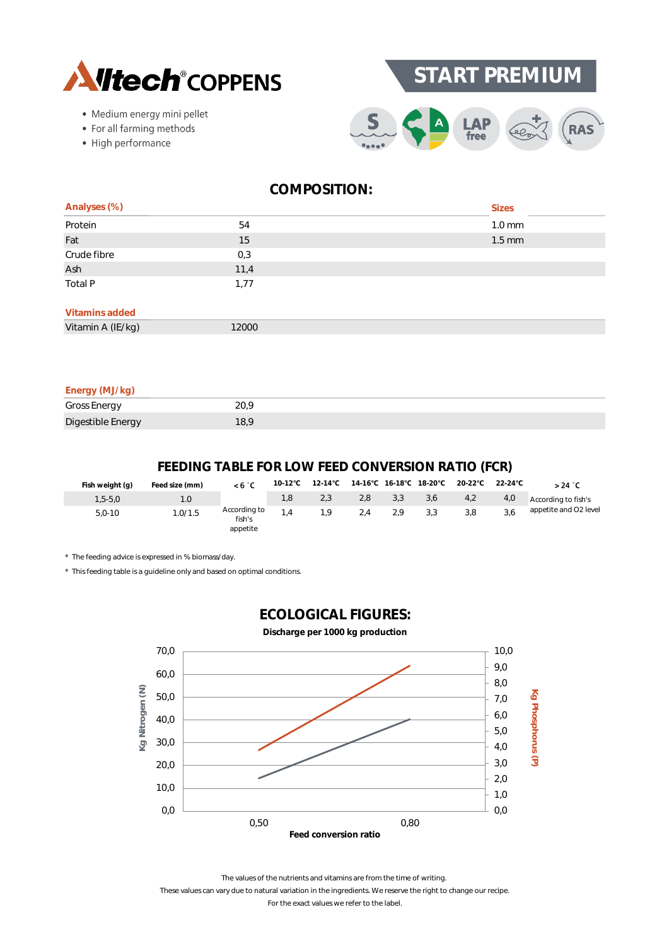



- · Medium energy mini pellet
- For all farming methods
- High performance



| Analyses (%)      |       | <b>Sizes</b>     |
|-------------------|-------|------------------|
| Protein           | 54    | $1.0 \text{ mm}$ |
| Fat               | 15    | $1.5 \text{ mm}$ |
| Crude fibre       | 0,3   |                  |
| Ash               | 11,4  |                  |
| Total P           | 1,77  |                  |
| Vitamins added    |       |                  |
| Vitamin A (IE/kg) | 12000 |                  |
|                   |       |                  |

| Energy (MJ/kg)      |      |
|---------------------|------|
| <b>Gross Energy</b> | 20.9 |
| Digestible Energy   | 18.9 |

# **FEEDING TABLE FOR LOW FEED CONVERSION RATIO (FCR)**

| Fish weight (g) | Feed size (mm) | <6 °C                              |     |     |     |     |     | 10-12°C  12-14°C  14-16°C  16-18°C  18-20°C  20-22°C | 22-24°C | $>24$ $^{\circ}$ C    |
|-----------------|----------------|------------------------------------|-----|-----|-----|-----|-----|------------------------------------------------------|---------|-----------------------|
| $1,5-5,0$       |                |                                    | 1.8 | 2.3 | 2.8 | 3.3 | 3,6 | 4,2                                                  | 4,0     | According to fish's   |
| $5.0 - 10$      | .0/1.5         | According to<br>fish's<br>appetite |     | 1.9 | 2.4 | 2.9 | 3.3 | 3.8                                                  |         | appetite and O2 level |

\* The feeding advice is expressed in % biomass/day.

\* This feeding table is a guideline only and based on optimal conditions.



**ECOLOGICAL FIGURES:**

The values of the nutrients and vitamins are from the time of writing.

These values can vary due to natural variation in the ingredients. We reserve the right to change our recipe.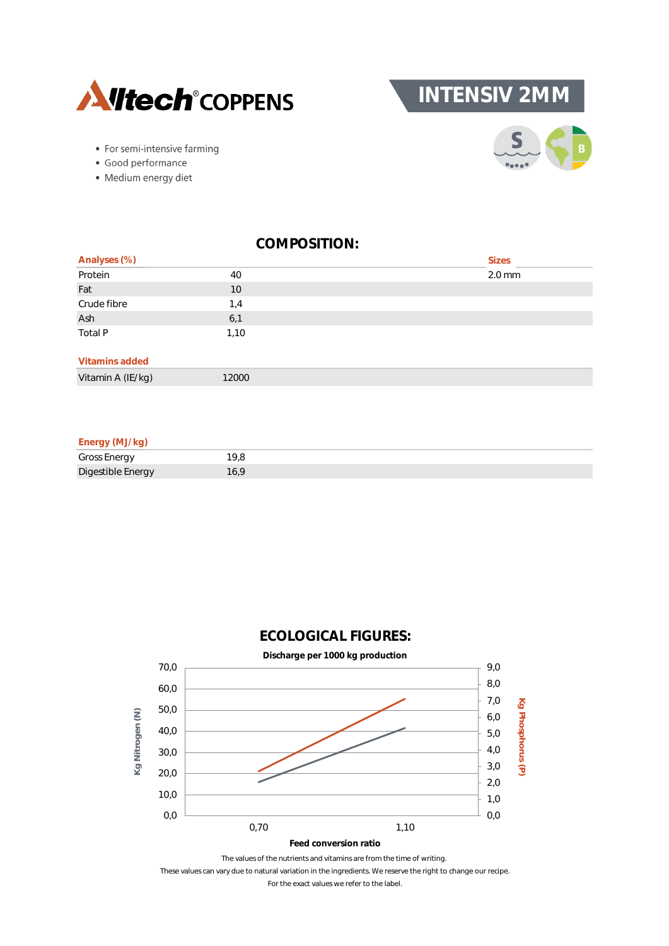

**INTENSIV 2MM**



- For semi-intensive farming
- · Good performance
- · Medium energy diet

| Analyses (%)      |       | <b>Sizes</b> |
|-------------------|-------|--------------|
| Protein           | 40    | $2.0$ mm     |
| Fat               | 10    |              |
| Crude fibre       | 1,4   |              |
| Ash               | 6,1   |              |
| Total P           | 1,10  |              |
| Vitamins added    |       |              |
| Vitamin A (IE/kg) | 12000 |              |

#### **Energy (MJ/kg)**

| Gross Energy      |     |
|-------------------|-----|
| Digestible Energy | 6.1 |





These values can vary due to natural variation in the ingredients. We reserve the right to change our recipe.

For the exact values we refer to the label.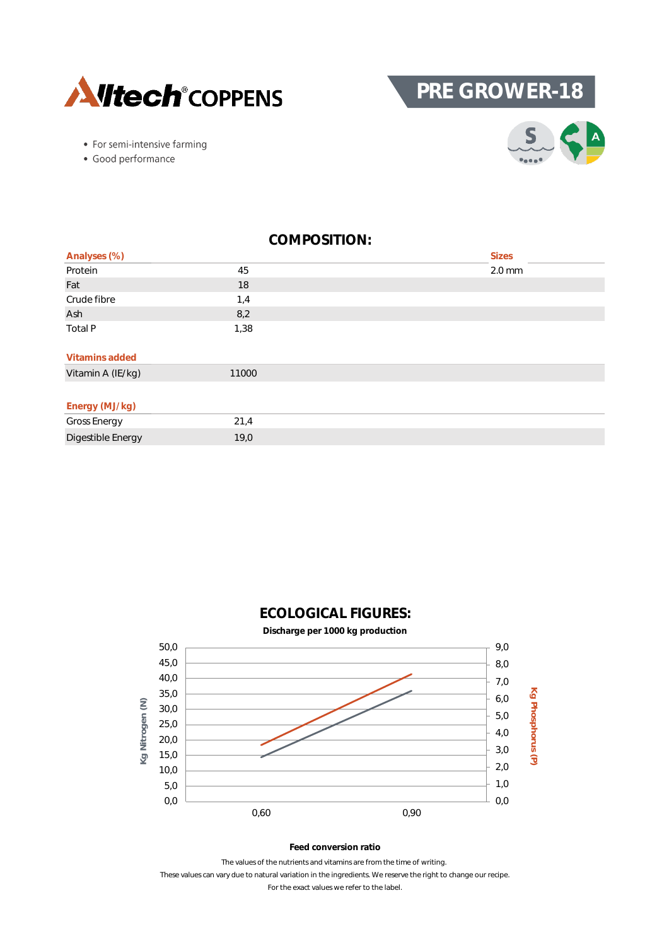

**PRE GROWER-18**

- For semi-intensive farming
- · Good performance



| Analyses (%)        |       | <b>Sizes</b> |
|---------------------|-------|--------------|
| Protein             | 45    | $2.0$ mm     |
| Fat                 | 18    |              |
| Crude fibre         | 1,4   |              |
| Ash                 | 8,2   |              |
| Total P             | 1,38  |              |
| Vitamins added      |       |              |
| Vitamin A (IE/kg)   | 11000 |              |
|                     |       |              |
| Energy (MJ/kg)      |       |              |
| <b>Gross Energy</b> | 21,4  |              |
| Digestible Energy   | 19,0  |              |



# **ECOLOGICAL FIGURES:**

#### **Feed conversion ratio**

These values can vary due to natural variation in the ingredients. We reserve the right to change our recipe. The values of the nutrients and vitamins are from the time of writing.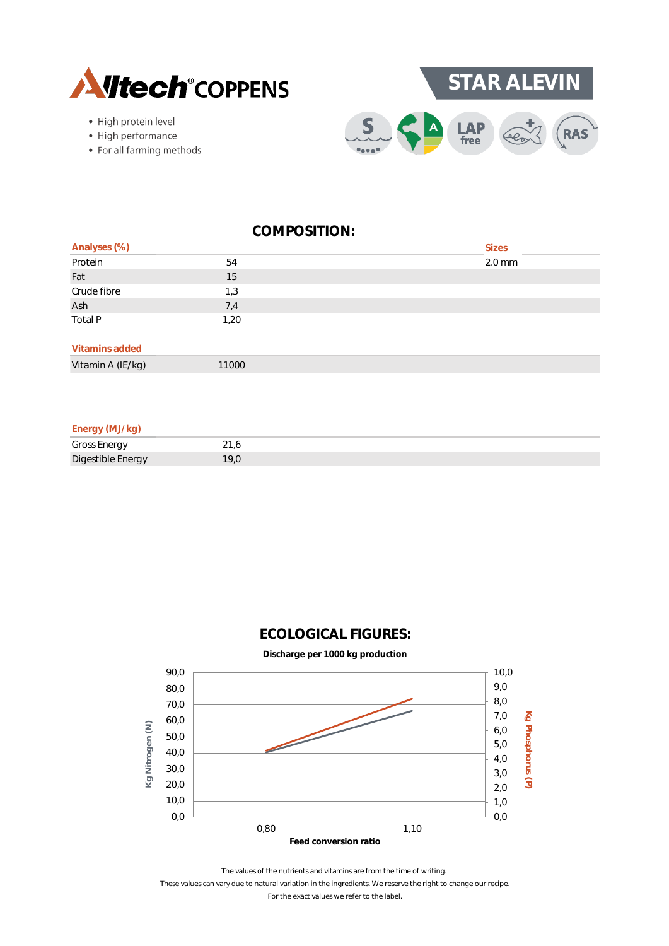

- · High protein level
- High performance
- For all farming methods



|                         |       | <b>Sizes</b> |
|-------------------------|-------|--------------|
| Analyses (%)<br>Protein | 54    | $2.0$ mm     |
| Fat                     | 15    |              |
| Crude fibre             | 1,3   |              |
| Ash                     | 7,4   |              |
| Total P                 | 1,20  |              |
| Vitamins added          |       |              |
| Vitamin A (IE/kg)       | 11000 |              |

#### **Energy (MJ/kg)**

| <b>Gross Energy</b> |  |
|---------------------|--|
| Digestible Energy   |  |

# **ECOLOGICAL FIGURES:**



The values of the nutrients and vitamins are from the time of writing.

These values can vary due to natural variation in the ingredients. We reserve the right to change our recipe.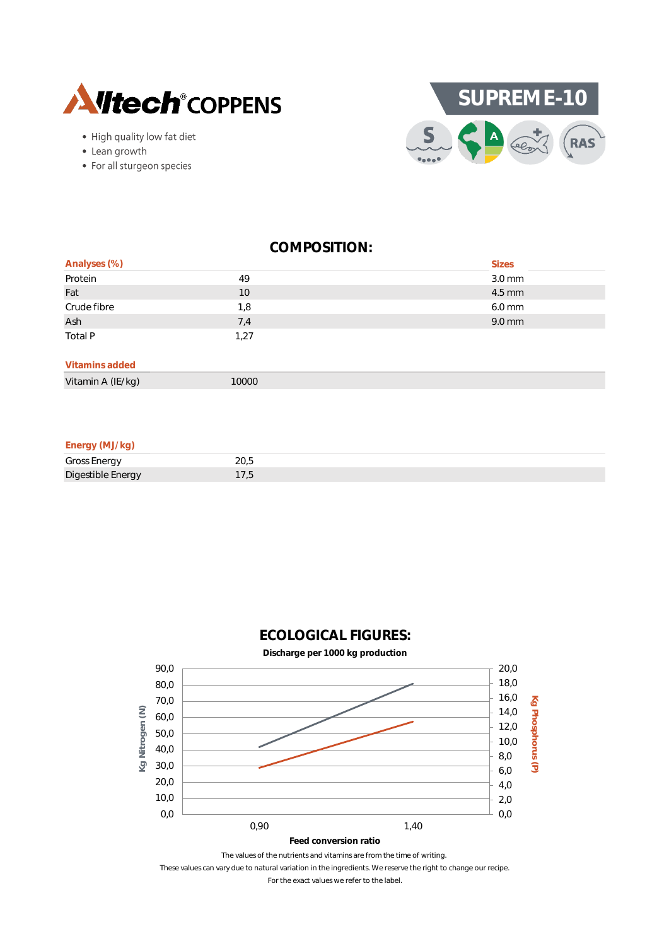

- High quality low fat diet
- Lean growth
- For all sturgeon species



| Analyses (%) |      | <b>Sizes</b>     |
|--------------|------|------------------|
| Protein      | 49   | $3.0 \text{ mm}$ |
| Fat          | 10   | 4.5 mm           |
| Crude fibre  | 1,8  | $6.0$ mm         |
| Ash          | 7,4  | 9.0 mm           |
| Total P      | 1,27 |                  |
|              |      |                  |

# **Vitamins added**

Vitamin A (IE/kg) 10000

#### **Energy (MJ/kg)**

| <b>Gross Energy</b> | ZU.J |
|---------------------|------|
| Digestible Energy   |      |



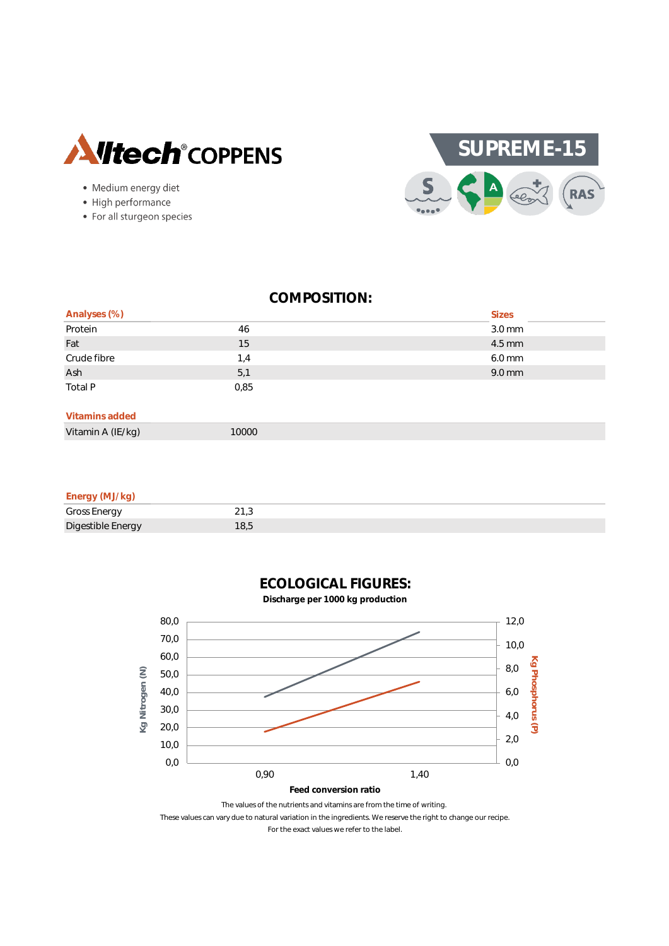

- · Medium energy diet
- High performance
- For all sturgeon species



| Analyses (%)   |      | <b>Sizes</b> |
|----------------|------|--------------|
| Protein        | 46   | $3.0$ mm     |
| Fat            | 15   | 4.5 mm       |
| Crude fibre    | 1,4  | 6.0 mm       |
| Ash            | 5,1  | 9.0 mm       |
| Total P        | 0,85 |              |
| Vitamins added |      |              |

Vitamin A (IE/kg) 10000

#### **Energy (MJ/kg)**

| <b>Gross Energy</b> | ت<br><u>.</u> |
|---------------------|---------------|
| Digestible Energy   |               |



**ECOLOGICAL FIGURES:**

The values of the nutrients and vitamins are from the time of writing.

These values can vary due to natural variation in the ingredients. We reserve the right to change our recipe.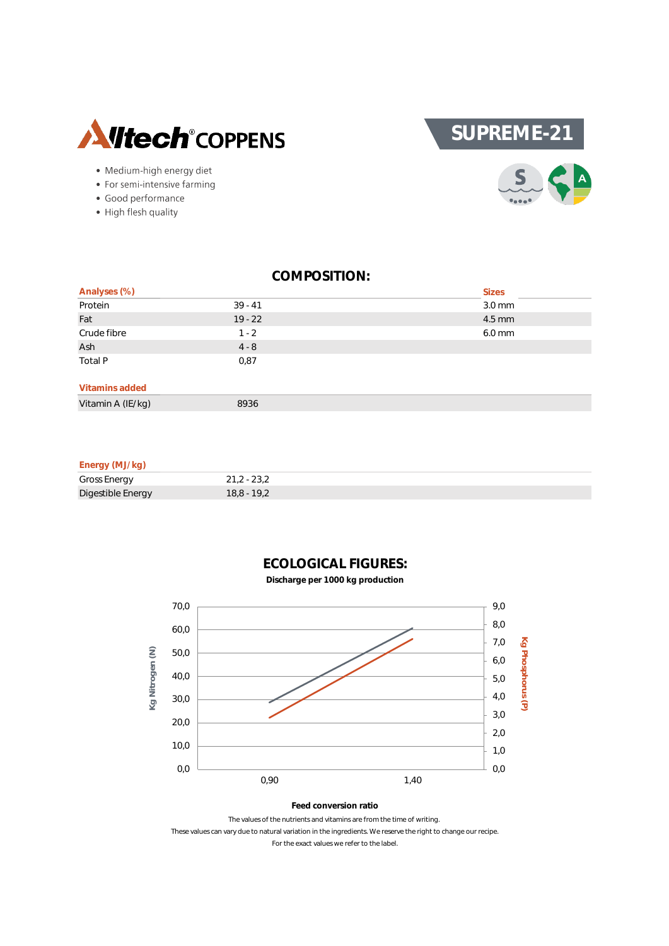

- · Medium-high energy diet
- For semi-intensive farming
- · Good performance
- High flesh quality



| Analyses (%)                                                                                                    |           | <b>Sizes</b>     |
|-----------------------------------------------------------------------------------------------------------------|-----------|------------------|
| Protein                                                                                                         | $39 - 41$ | $3.0 \text{ mm}$ |
| Fat                                                                                                             | $19 - 22$ | 4.5 mm           |
| Crude fibre                                                                                                     | $1 - 2$   | 6.0 mm           |
| Ash                                                                                                             | $4 - 8$   |                  |
| Total P                                                                                                         | 0,87      |                  |
| Vitamins added                                                                                                  |           |                  |
| the contract of the contract of the contract of the contract of the contract of the contract of the contract of |           |                  |

Vitamin A (IE/kg) 8936

#### **Energy (MJ/kg)**

| Gross Energy      | $21,2 - 23,2$ |
|-------------------|---------------|
| Digestible Energy | 18.8 - 19.2   |



# **ECOLOGICAL FIGURES:**

**Discharge per 1000 kg production**

The values of the nutrients and vitamins are from the time of writing. These values can vary due to natural variation in the ingredients. We reserve the right to change our recipe. For the exact values we refer to the label.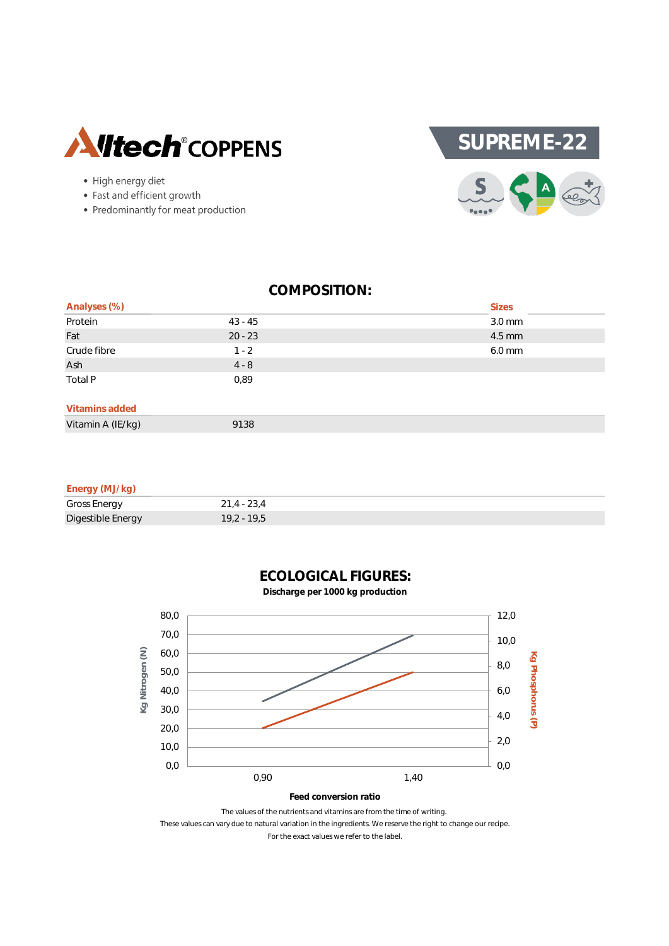

- High energy diet
- Fast and efficient growth
- Predominantly for meat production



| Analyses (%)      |           | <b>Sizes</b> |
|-------------------|-----------|--------------|
| Protein           | $43 - 45$ | 3.0 mm       |
| Fat               | $20 - 23$ | 4.5 mm       |
| Crude fibre       | $1 - 2$   | 6.0 mm       |
| Ash               | $4 - 8$   |              |
| Total P           | 0,89      |              |
| Vitamins added    |           |              |
| Vitamin A (IE/kg) | 9138      |              |

#### **Energy (MJ/kg)**

| .                   |               |
|---------------------|---------------|
| <b>Gross Energy</b> | $21.4 - 23.4$ |
| Digestible Energy   | 19,2 - 19,5   |



**ECOLOGICAL FIGURES: Discharge per 1000 kg production**

The values of the nutrients and vitamins are from the time of writing. These values can vary due to natural variation in the ingredients. We reserve the right to change our recipe. For the exact values we refer to the label.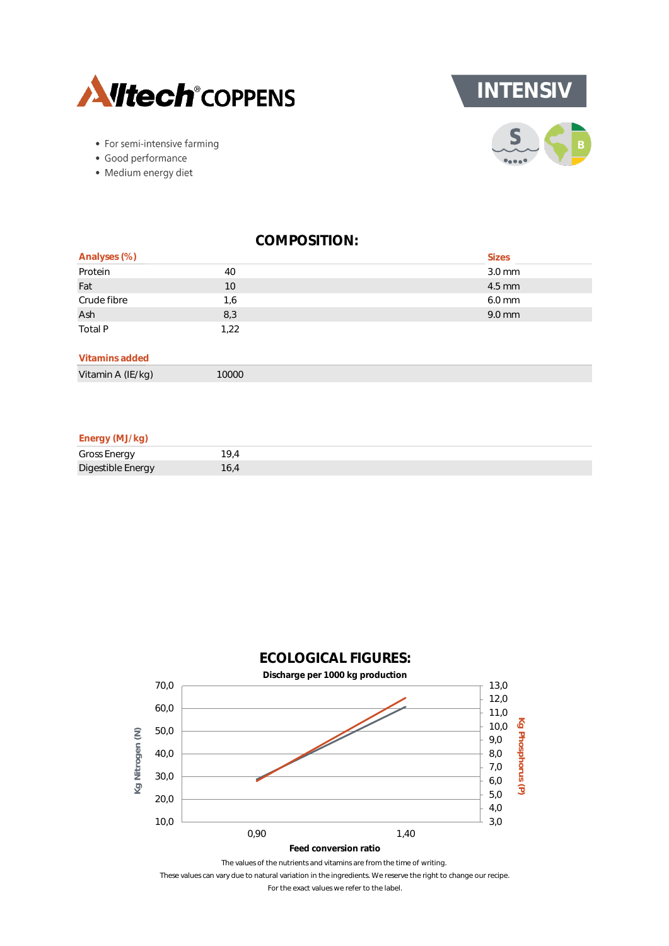



- For semi-intensive farming
- · Good performance
- · Medium energy diet

| Analyses (%)      |       | <b>Sizes</b> |
|-------------------|-------|--------------|
| Protein           | 40    | $3.0$ mm     |
| Fat               | 10    | 4.5 mm       |
| Crude fibre       | 1,6   | 6.0 mm       |
| Ash               | 8,3   | 9.0 mm       |
| Total P           | 1,22  |              |
| Vitamins added    |       |              |
| Vitamin A (IE/kg) | 10000 |              |

**Energy (MJ/kg)**

| Gross Energy      |  |
|-------------------|--|
| Digestible Energy |  |



These values can vary due to natural variation in the ingredients. We reserve the right to change our recipe.

For the exact values we refer to the label.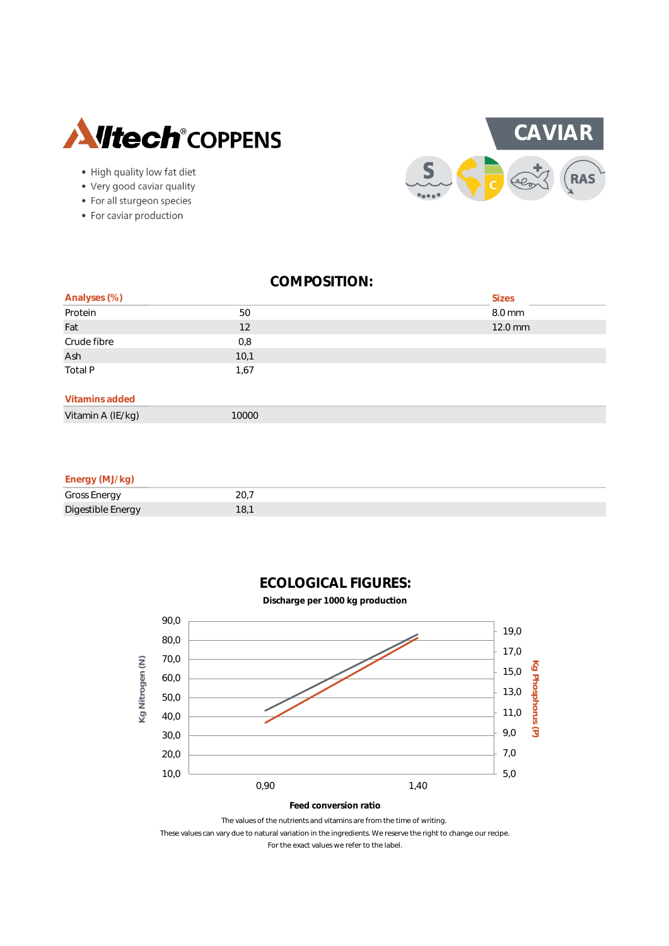

- High quality low fat diet
- Very good caviar quality
- For all sturgeon species
- For caviar production



|                         |      | <b>Sizes</b> |
|-------------------------|------|--------------|
| Analyses (%)<br>Protein | 50   | 8.0 mm       |
| Fat                     | 12   | 12.0 mm      |
| Crude fibre             | 0,8  |              |
| Ash                     | 10,1 |              |
| Total P                 | 1,67 |              |
|                         |      |              |
| Vitamins added          |      |              |

### Vitamin A (IE/kg) 10000

#### **Energy (MJ/kg)**

| <b>Gross Energy</b><br>ັ | $\cap$<br>$\sim$ $\sim$ $\cdot$ |
|--------------------------|---------------------------------|
| Digestible Energy        |                                 |

**ECOLOGICAL FIGURES:**



These values can vary due to natural variation in the ingredients. We reserve the right to change our recipe. For the exact values we refer to the label.